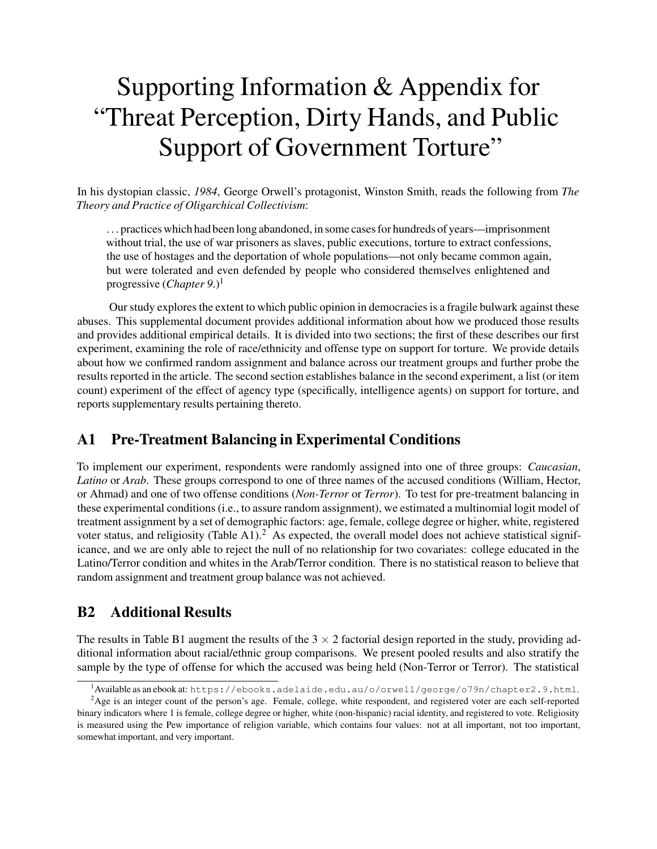# Supporting Information & Appendix for "Threat Perception, Dirty Hands, and Public Support of Government Torture"

In his dystopian classic, *1984*, George Orwell's protagonist, Winston Smith, reads the following from *The Theory and Practice of Oligarchical Collectivism*:

. . . practices which had been long abandoned, in some cases for hundreds of years—imprisonment without trial, the use of war prisoners as slaves, public executions, torture to extract confessions, the use of hostages and the deportation of whole populations—not only became common again, but were tolerated and even defended by people who considered themselves enlightened and progressive (*Chapter* 9.)<sup>1</sup>

Our study explores the extent to which public opinion in democracies is a fragile bulwark against these abuses. This supplemental document provides additional information about how we produced those results and provides additional empirical details. It is divided into two sections; the first of these describes our first experiment, examining the role of race/ethnicity and offense type on support for torture. We provide details about how we confirmed random assignment and balance across our treatment groups and further probe the results reported in the article. The second section establishes balance in the second experiment, a list (or item count) experiment of the effect of agency type (specifically, intelligence agents) on support for torture, and reports supplementary results pertaining thereto.

## A1 Pre-Treatment Balancing in Experimental Conditions

To implement our experiment, respondents were randomly assigned into one of three groups: *Caucasian*, *Latino* or *Arab*. These groups correspond to one of three names of the accused conditions (William, Hector, or Ahmad) and one of two offense conditions (*Non-Terror* or *Terror*). To test for pre-treatment balancing in these experimental conditions (i.e., to assure random assignment), we estimated a multinomial logit model of treatment assignment by a set of demographic factors: age, female, college degree or higher, white, registered voter status, and religiosity (Table A1).<sup>2</sup> As expected, the overall model does not achieve statistical significance, and we are only able to reject the null of no relationship for two covariates: college educated in the Latino/Terror condition and whites in the Arab/Terror condition. There is no statistical reason to believe that random assignment and treatment group balance was not achieved.

## B2 Additional Results

The results in Table B1 augment the results of the  $3 \times 2$  factorial design reported in the study, providing additional information about racial/ethnic group comparisons. We present pooled results and also stratify the sample by the type of offense for which the accused was being held (Non-Terror or Terror). The statistical

<sup>&</sup>lt;sup>1</sup>Available as an ebook at: https://ebooks.adelaide.edu.au/o/orwell/george/o79n/chapter2.9.html.

<sup>&</sup>lt;sup>2</sup>Age is an integer count of the person's age. Female, college, white respondent, and registered voter are each self-reported binary indicators where 1 is female, college degree or higher, white (non-hispanic) racial identity, and registered to vote. Religiosity is measured using the Pew importance of religion variable, which contains four values: not at all important, not too important, somewhat important, and very important.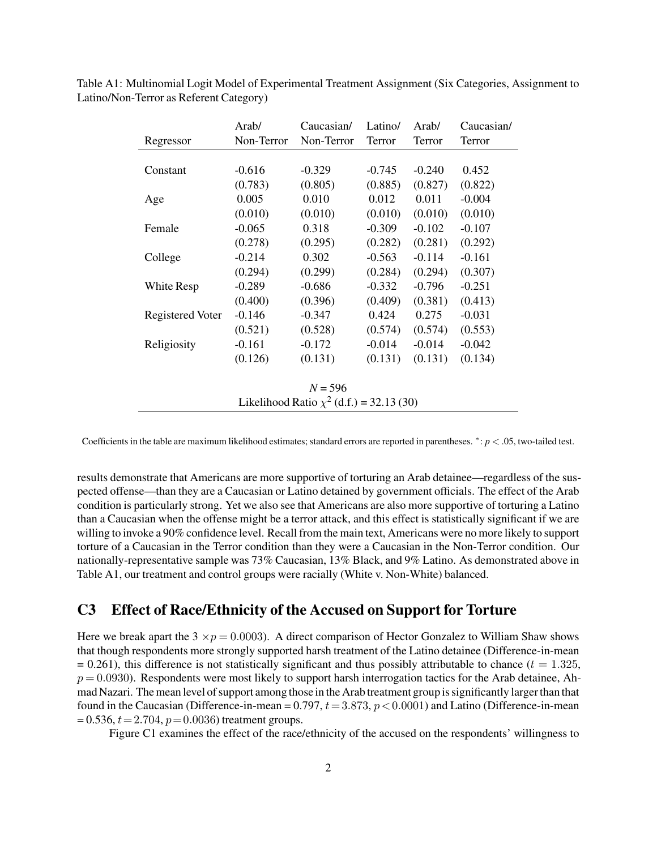|                                               | Arab/      | Caucasian/ | Latino/  | Arab/    | Caucasian/ |
|-----------------------------------------------|------------|------------|----------|----------|------------|
| Regressor                                     | Non-Terror | Non-Terror | Terror   | Terror   | Terror     |
|                                               |            |            |          |          |            |
| Constant                                      | $-0.616$   | $-0.329$   | $-0.745$ | $-0.240$ | 0.452      |
|                                               | (0.783)    | (0.805)    | (0.885)  | (0.827)  | (0.822)    |
| Age                                           | 0.005      | 0.010      | 0.012    | 0.011    | $-0.004$   |
|                                               | (0.010)    | (0.010)    | (0.010)  | (0.010)  | (0.010)    |
| Female                                        | $-0.065$   | 0.318      | $-0.309$ | $-0.102$ | $-0.107$   |
|                                               | (0.278)    | (0.295)    | (0.282)  | (0.281)  | (0.292)    |
| College                                       | $-0.214$   | 0.302      | $-0.563$ | $-0.114$ | $-0.161$   |
|                                               | (0.294)    | (0.299)    | (0.284)  | (0.294)  | (0.307)    |
| White Resp                                    | $-0.289$   | $-0.686$   | $-0.332$ | $-0.796$ | $-0.251$   |
|                                               | (0.400)    | (0.396)    | (0.409)  | (0.381)  | (0.413)    |
| Registered Voter                              | $-0.146$   | $-0.347$   | 0.424    | 0.275    | $-0.031$   |
|                                               | (0.521)    | (0.528)    | (0.574)  | (0.574)  | (0.553)    |
| Religiosity                                   | $-0.161$   | $-0.172$   | $-0.014$ | $-0.014$ | $-0.042$   |
|                                               | (0.126)    | (0.131)    | (0.131)  | (0.131)  | (0.134)    |
|                                               |            |            |          |          |            |
| $N = 596$                                     |            |            |          |          |            |
| Likelihood Ratio $\chi^2$ (d.f.) = 32.13 (30) |            |            |          |          |            |

Table A1: Multinomial Logit Model of Experimental Treatment Assignment (Six Categories, Assignment to Latino/Non-Terror as Referent Category)

Coefficients in the table are maximum likelihood estimates; standard errors are reported in parentheses. *<sup>∗</sup>* : *p <* .05, two-tailed test.

results demonstrate that Americans are more supportive of torturing an Arab detainee—regardless of the suspected offense—than they are a Caucasian or Latino detained by government officials. The effect of the Arab condition is particularly strong. Yet we also see that Americans are also more supportive of torturing a Latino than a Caucasian when the offense might be a terror attack, and this effect is statistically significant if we are willing to invoke a 90% confidence level. Recall from the main text, Americans were no more likely to support torture of a Caucasian in the Terror condition than they were a Caucasian in the Non-Terror condition. Our nationally-representative sample was 73% Caucasian, 13% Black, and 9% Latino. As demonstrated above in Table A1, our treatment and control groups were racially (White v. Non-White) balanced.

#### C3 Effect of Race/Ethnicity of the Accused on Support for Torture

Here we break apart the  $3 \times p = 0.0003$ . A direct comparison of Hector Gonzalez to William Shaw shows that though respondents more strongly supported harsh treatment of the Latino detainee (Difference-in-mean  $= 0.261$ ), this difference is not statistically significant and thus possibly attributable to chance ( $t = 1.325$ ,  $p = 0.0930$ ). Respondents were most likely to support harsh interrogation tactics for the Arab detainee, Ahmad Nazari. The mean level of support among those in the Arab treatment group is significantly larger than that found in the Caucasian (Difference-in-mean = 0.797, *t*= 3*.*873, *p <*0*.*0001) and Latino (Difference-in-mean  $= 0.536, t = 2.704, p = 0.0036$  treatment groups.

Figure C1 examines the effect of the race/ethnicity of the accused on the respondents' willingness to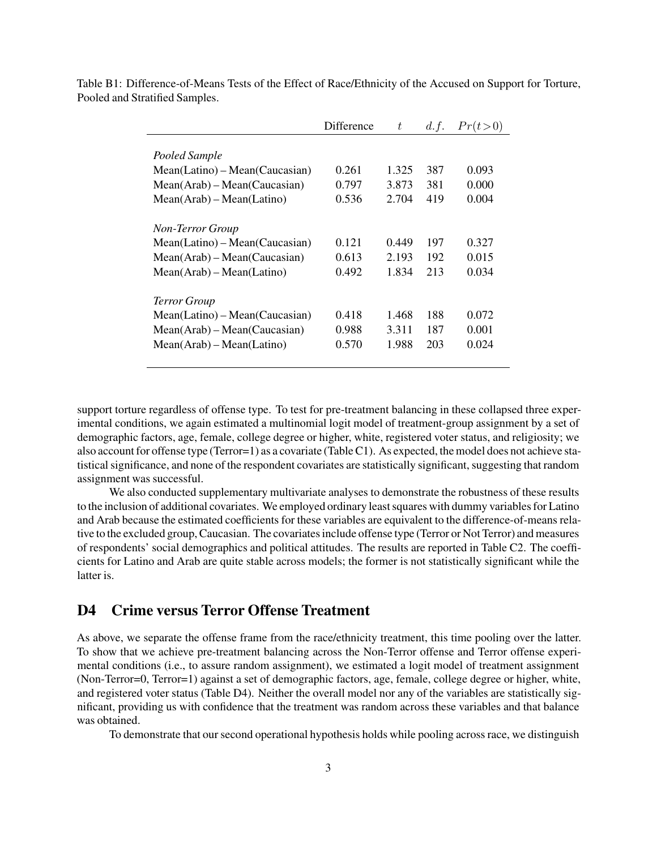|                                  | Difference | t     | d.f. | Pr(t>0) |
|----------------------------------|------------|-------|------|---------|
|                                  |            |       |      |         |
| Pooled Sample                    |            |       |      |         |
| $Mean(Latino) - Mean(Caucasian)$ | 0.261      | 1.325 | 387  | 0.093   |
| $Mean(Arab) - Mean(Caucasian)$   | 0.797      | 3.873 | 381  | 0.000   |
| $Mean(Arab) - Mean(Latino)$      | 0.536      | 2.704 | 419  | 0.004   |
|                                  |            |       |      |         |
| <b>Non-Terror Group</b>          |            |       |      |         |
| $Mean(Latino) - Mean(Caucasian)$ | 0.121      | 0.449 | 197  | 0.327   |
| $Mean(Arab) - Mean(Caucasian)$   | 0.613      | 2.193 | 192  | 0.015   |
| $Mean(Arab) - Mean(Latino)$      | 0.492      | 1.834 | 213  | 0.034   |
|                                  |            |       |      |         |
| <b>Terror Group</b>              |            |       |      |         |
| $Mean(Latino) - Mean(Caucasian)$ | 0.418      | 1.468 | 188  | 0.072   |
| $Mean(Arab) - Mean(Caucasian)$   | 0.988      | 3.311 | 187  | 0.001   |
| $Mean(Arab) - Mean(Latino)$      | 0.570      | 1.988 | 203  | 0.024   |
|                                  |            |       |      |         |

Table B1: Difference-of-Means Tests of the Effect of Race/Ethnicity of the Accused on Support for Torture, Pooled and Stratified Samples.

support torture regardless of offense type. To test for pre-treatment balancing in these collapsed three experimental conditions, we again estimated a multinomial logit model of treatment-group assignment by a set of demographic factors, age, female, college degree or higher, white, registered voter status, and religiosity; we also account for offense type (Terror=1) as a covariate (Table C1). As expected, the model does not achieve statistical significance, and none of the respondent covariates are statistically significant, suggesting that random assignment was successful.

We also conducted supplementary multivariate analyses to demonstrate the robustness of these results to the inclusion of additional covariates. We employed ordinary least squares with dummy variables for Latino and Arab because the estimated coefficients for these variables are equivalent to the difference-of-means relative to the excluded group, Caucasian. The covariates include offense type (Terror or Not Terror) and measures of respondents' social demographics and political attitudes. The results are reported in Table C2. The coefficients for Latino and Arab are quite stable across models; the former is not statistically significant while the latter is.

### D4 Crime versus Terror Offense Treatment

As above, we separate the offense frame from the race/ethnicity treatment, this time pooling over the latter. To show that we achieve pre-treatment balancing across the Non-Terror offense and Terror offense experimental conditions (i.e., to assure random assignment), we estimated a logit model of treatment assignment (Non-Terror=0, Terror=1) against a set of demographic factors, age, female, college degree or higher, white, and registered voter status (Table D4). Neither the overall model nor any of the variables are statistically significant, providing us with confidence that the treatment was random across these variables and that balance was obtained.

To demonstrate that our second operational hypothesis holds while pooling across race, we distinguish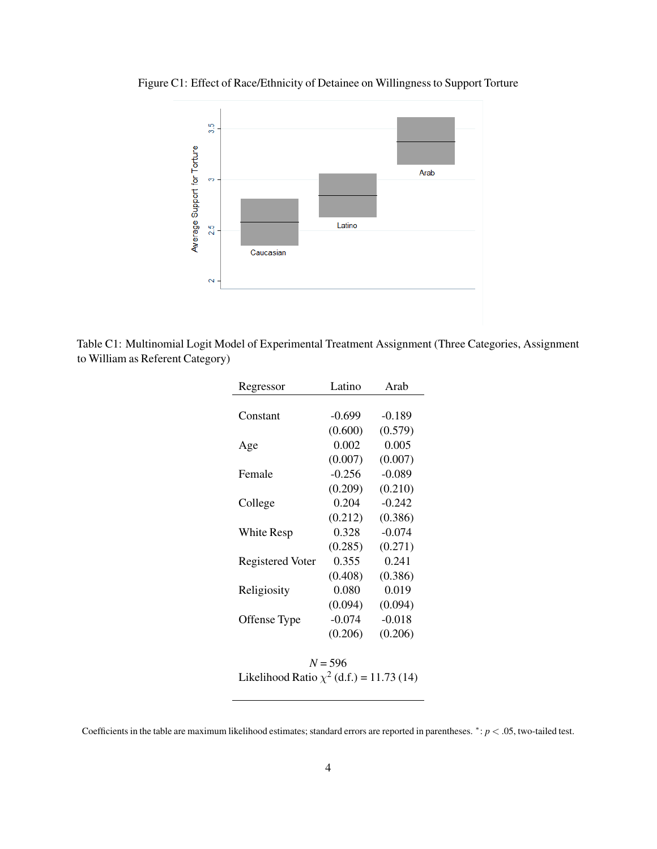Figure C1: Effect of Race/Ethnicity of Detainee on Willingness to Support Torture



Table C1: Multinomial Logit Model of Experimental Treatment Assignment (Three Categories, Assignment to William as Referent Category)

| Regressor        | Latino   | Arab     |
|------------------|----------|----------|
|                  |          |          |
| Constant         | $-0.699$ | $-0.189$ |
|                  | (0.600)  | (0.579)  |
| Age              | 0.002    | 0.005    |
|                  | (0.007)  | (0.007)  |
| Female           | $-0.256$ | $-0.089$ |
|                  | (0.209)  | (0.210)  |
| College          | 0.204    | $-0.242$ |
|                  | (0.212)  | (0.386)  |
| White Resp       | 0.328    | $-0.074$ |
|                  | (0.285)  | (0.271)  |
| Registered Voter | 0.355    | 0.241    |
|                  | (0.408)  | (0.386)  |
| Religiosity      | 0.080    | 0.019    |
|                  | (0.094)  | (0.094)  |
| Offense Type     | $-0.074$ | $-0.018$ |
|                  | (0.206)  | (0.206)  |
|                  |          |          |
|                  |          |          |

*N* = 596 Likelihood Ratio  $\chi^2$  (d.f.) = 11.73 (14)

Coefficients in the table are maximum likelihood estimates; standard errors are reported in parentheses. *<sup>∗</sup>* : *p <* .05, two-tailed test.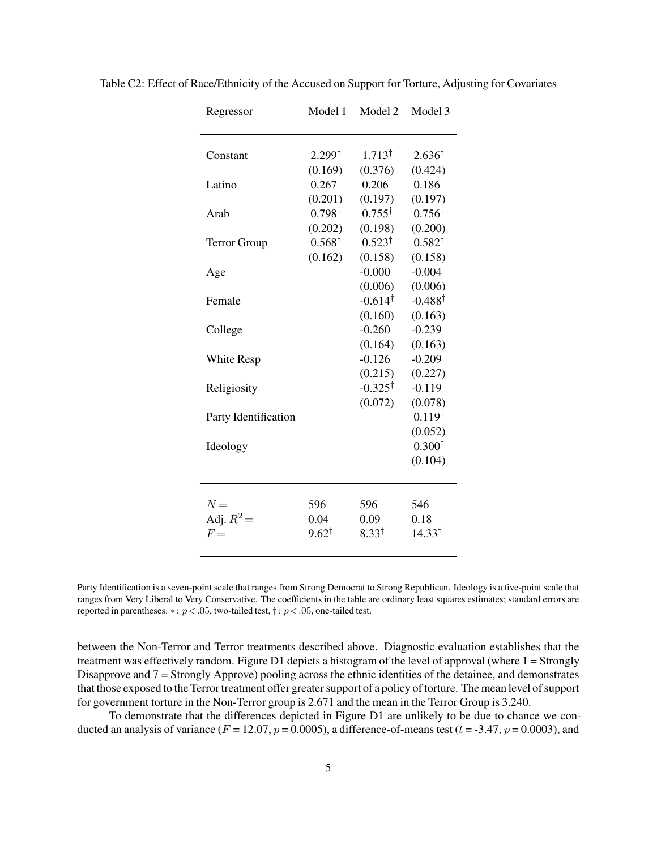| Regressor            | Model 1           | Model 2            | Model 3            |
|----------------------|-------------------|--------------------|--------------------|
|                      |                   |                    |                    |
| Constant             | $2.299^{\dagger}$ | $1.713^{\dagger}$  | $2.636^{\dagger}$  |
|                      | (0.169)           | (0.376)            | (0.424)            |
| Latino               | 0.267             | 0.206              | 0.186              |
|                      | (0.201)           | (0.197)            | (0.197)            |
| Arab                 | $0.798^{\dagger}$ | $0.755^{\dagger}$  | $0.756^{\dagger}$  |
|                      | (0.202)           | (0.198)            | (0.200)            |
| <b>Terror Group</b>  | $0.568^{\dagger}$ | $0.523^{\dagger}$  | $0.582^{\dagger}$  |
|                      | (0.162)           | (0.158)            | (0.158)            |
| Age                  |                   | $-0.000$           | $-0.004$           |
|                      |                   | (0.006)            | (0.006)            |
| Female               |                   | $-0.614^{\dagger}$ | $-0.488^{\dagger}$ |
|                      |                   | (0.160)            | (0.163)            |
| College              |                   | $-0.260$           | $-0.239$           |
|                      |                   | (0.164)            | (0.163)            |
| White Resp           |                   | $-0.126$           | $-0.209$           |
|                      |                   | (0.215)            | (0.227)            |
| Religiosity          |                   | $-0.325^{\dagger}$ | $-0.119$           |
|                      |                   | (0.072)            | (0.078)            |
| Party Identification |                   |                    | $0.119^{\dagger}$  |
|                      |                   |                    | (0.052)            |
| Ideology             |                   |                    | $0.300^{\dagger}$  |
|                      |                   |                    | (0.104)            |
|                      |                   |                    |                    |
| $N =$                | 596               | 596                | 546                |
| Adj. $R^2$ =         | 0.04              | 0.09               | 0.18               |
| $F =$                | $9.62^{\dagger}$  | $8.33^{\dagger}$   | $14.33^{\dagger}$  |
|                      |                   |                    |                    |

Table C2: Effect of Race/Ethnicity of the Accused on Support for Torture, Adjusting for Covariates

Party Identification is a seven-point scale that ranges from Strong Democrat to Strong Republican. Ideology is a five-point scale that ranges from Very Liberal to Very Conservative. The coefficients in the table are ordinary least squares estimates; standard errors are reported in parentheses. *∗*: *p<.*05, two-tailed test, *†* : *p<.*05, one-tailed test.

between the Non-Terror and Terror treatments described above. Diagnostic evaluation establishes that the treatment was effectively random. Figure D1 depicts a histogram of the level of approval (where 1 = Strongly Disapprove and 7 = Strongly Approve) pooling across the ethnic identities of the detainee, and demonstrates that those exposed to the Terror treatment offer greater support of a policy of torture. The mean level of support for government torture in the Non-Terror group is 2.671 and the mean in the Terror Group is 3.240.

To demonstrate that the differences depicted in Figure D1 are unlikely to be due to chance we conducted an analysis of variance  $(F = 12.07, p = 0.0005)$ , a difference-of-means test  $(t = -3.47, p = 0.0003)$ , and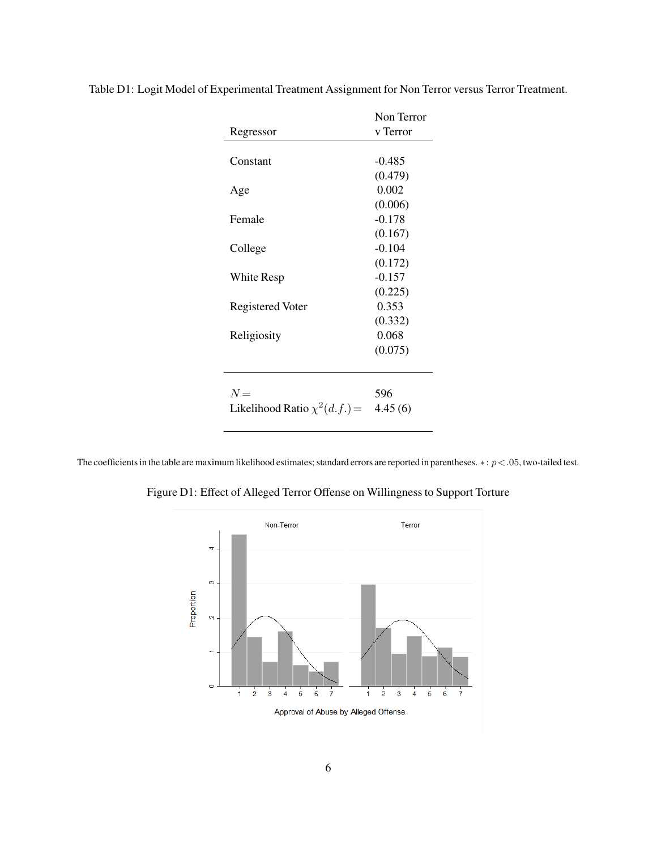|                                   | Non Terror |
|-----------------------------------|------------|
| Regressor                         | v Terror   |
|                                   |            |
| Constant                          | -0.485     |
|                                   | (0.479)    |
| Age                               | 0.002      |
|                                   | (0.006)    |
| Female                            | $-0.178$   |
|                                   | (0.167)    |
| College                           | $-0.104$   |
|                                   | (0.172)    |
| White Resp                        | $-0.157$   |
|                                   | (0.225)    |
| <b>Registered Voter</b>           | 0.353      |
|                                   | (0.332)    |
| Religiosity                       | 0.068      |
|                                   | (0.075)    |
|                                   |            |
|                                   |            |
| $N =$                             | 596        |
| Likelihood Ratio $\chi^2(d.f.)$ = | 4.45(6)    |

Table D1: Logit Model of Experimental Treatment Assignment for Non Terror versus Terror Treatment.

The coefficients in the table are maximum likelihood estimates; standard errors are reported in parentheses. *∗*: *p<.*05, two-tailed test.

Figure D1: Effect of Alleged Terror Offense on Willingness to Support Torture

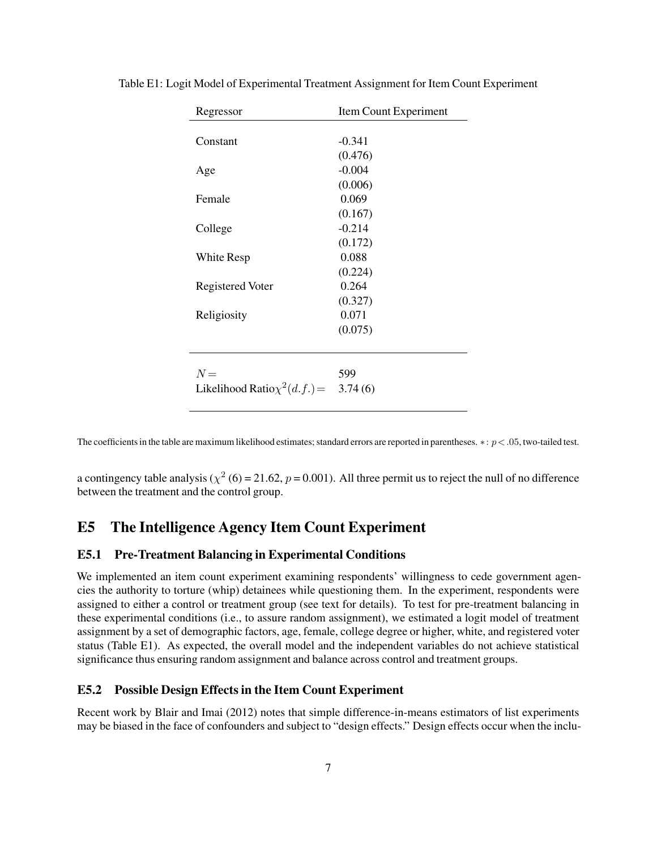| Regressor                                 | Item Count Experiment |
|-------------------------------------------|-----------------------|
|                                           |                       |
| Constant                                  | $-0.341$              |
|                                           | (0.476)               |
| Age                                       | $-0.004$              |
|                                           | (0.006)               |
| Female                                    | 0.069                 |
|                                           | (0.167)               |
| College                                   | $-0.214$              |
|                                           | (0.172)               |
| White Resp                                | 0.088                 |
|                                           | (0.224)               |
| <b>Registered Voter</b>                   | 0.264                 |
|                                           | (0.327)               |
| Religiosity                               | 0.071                 |
|                                           | (0.075)               |
|                                           |                       |
|                                           |                       |
| $N =$                                     | 599                   |
| Likelihood Ratio $\chi^2(d.f.) = 3.74(6)$ |                       |
|                                           |                       |

Table E1: Logit Model of Experimental Treatment Assignment for Item Count Experiment

The coefficients in the table are maximum likelihood estimates; standard errors are reported in parentheses. *∗*: *p<.*05, two-tailed test.

a contingency table analysis ( $\chi^2$  (6) = 21.62, *p* = 0.001). All three permit us to reject the null of no difference between the treatment and the control group.

## E5 The Intelligence Agency Item Count Experiment

#### E5.1 Pre-Treatment Balancing in Experimental Conditions

We implemented an item count experiment examining respondents' willingness to cede government agencies the authority to torture (whip) detainees while questioning them. In the experiment, respondents were assigned to either a control or treatment group (see text for details). To test for pre-treatment balancing in these experimental conditions (i.e., to assure random assignment), we estimated a logit model of treatment assignment by a set of demographic factors, age, female, college degree or higher, white, and registered voter status (Table E1). As expected, the overall model and the independent variables do not achieve statistical significance thus ensuring random assignment and balance across control and treatment groups.

#### E5.2 Possible Design Effects in the Item Count Experiment

Recent work by Blair and Imai (2012) notes that simple difference-in-means estimators of list experiments may be biased in the face of confounders and subject to "design effects." Design effects occur when the inclu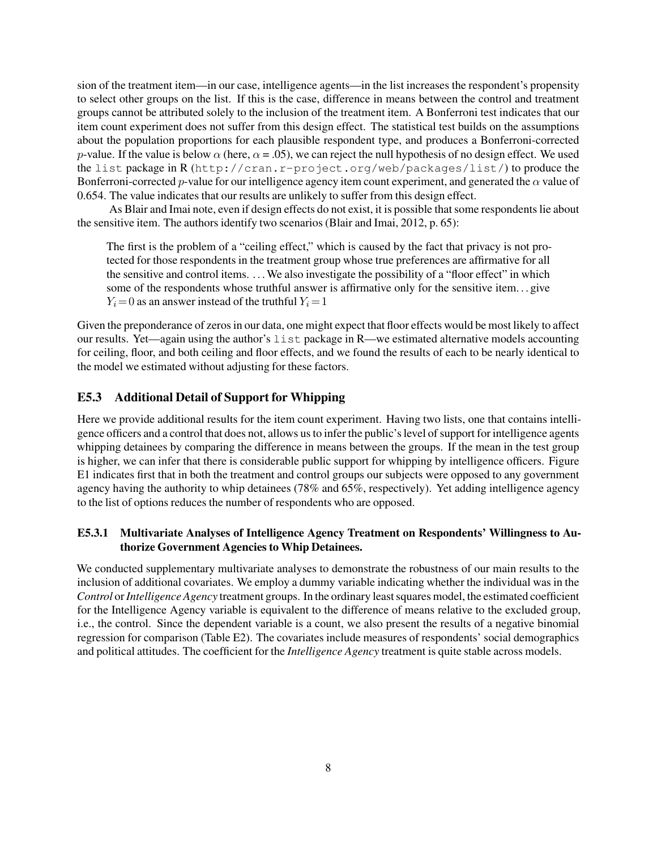sion of the treatment item—in our case, intelligence agents—in the list increases the respondent's propensity to select other groups on the list. If this is the case, difference in means between the control and treatment groups cannot be attributed solely to the inclusion of the treatment item. A Bonferroni test indicates that our item count experiment does not suffer from this design effect. The statistical test builds on the assumptions about the population proportions for each plausible respondent type, and produces a Bonferroni-corrected *p*-value. If the value is below  $\alpha$  (here,  $\alpha$  = .05), we can reject the null hypothesis of no design effect. We used the list package in R (http://cran.r-project.org/web/packages/list/) to produce the Bonferroni-corrected *p*-value for our intelligence agency item count experiment, and generated the *α* value of 0.654. The value indicates that our results are unlikely to suffer from this design effect.

As Blair and Imai note, even if design effects do not exist, it is possible that some respondents lie about the sensitive item. The authors identify two scenarios (Blair and Imai, 2012, p. 65):

The first is the problem of a "ceiling effect," which is caused by the fact that privacy is not protected for those respondents in the treatment group whose true preferences are affirmative for all the sensitive and control items. . . .We also investigate the possibility of a "floor effect" in which some of the respondents whose truthful answer is affirmative only for the sensitive item. . . give  $Y_i = 0$  as an answer instead of the truthful  $Y_i = 1$ 

Given the preponderance of zeros in our data, one might expect that floor effects would be most likely to affect our results. Yet—again using the author's list package in R—we estimated alternative models accounting for ceiling, floor, and both ceiling and floor effects, and we found the results of each to be nearly identical to the model we estimated without adjusting for these factors.

#### E5.3 Additional Detail of Support for Whipping

Here we provide additional results for the item count experiment. Having two lists, one that contains intelligence officers and a control that does not, allows us to infer the public's level of support for intelligence agents whipping detainees by comparing the difference in means between the groups. If the mean in the test group is higher, we can infer that there is considerable public support for whipping by intelligence officers. Figure E1 indicates first that in both the treatment and control groups our subjects were opposed to any government agency having the authority to whip detainees (78% and 65%, respectively). Yet adding intelligence agency to the list of options reduces the number of respondents who are opposed.

#### E5.3.1 Multivariate Analyses of Intelligence Agency Treatment on Respondents' Willingness to Authorize Government Agencies to Whip Detainees.

We conducted supplementary multivariate analyses to demonstrate the robustness of our main results to the inclusion of additional covariates. We employ a dummy variable indicating whether the individual was in the *Control* or*Intelligence Agency* treatment groups. In the ordinary least squares model, the estimated coefficient for the Intelligence Agency variable is equivalent to the difference of means relative to the excluded group, i.e., the control. Since the dependent variable is a count, we also present the results of a negative binomial regression for comparison (Table E2). The covariates include measures of respondents' social demographics and political attitudes. The coefficient for the *Intelligence Agency* treatment is quite stable across models.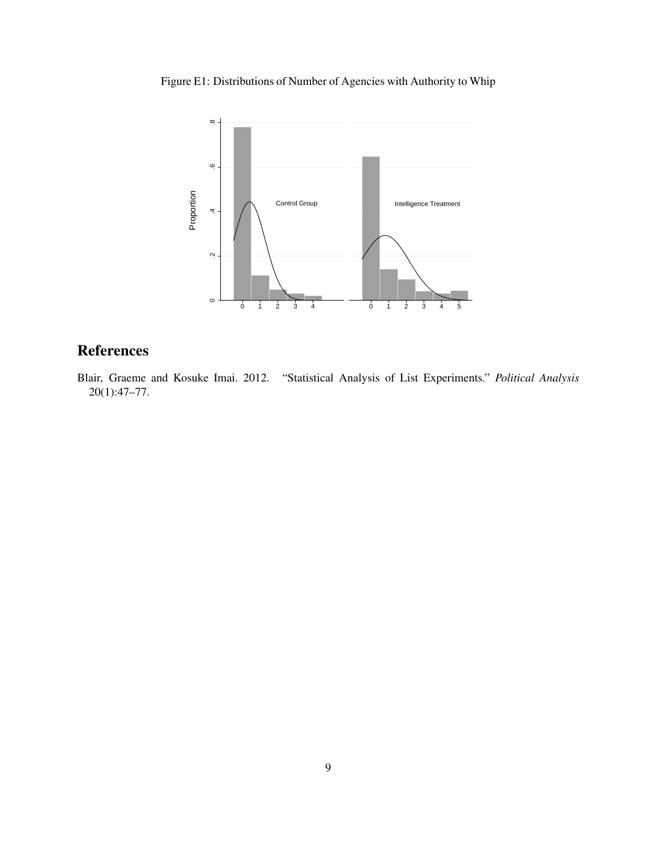Figure E1: Distributions of Number of Agencies with Authority to Whip



## **References**

Blair, Graeme and Kosuke Imai. 2012. "Statistical Analysis of List Experiments." *Political Analysis* 20(1):47–77.